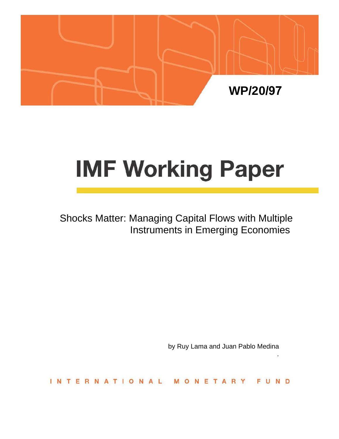

# **IMF Working Paper**

Shocks Matter: Managing Capital Flows with Multiple Instruments in Emerging Economies

by Ruy Lama and Juan Pablo Medina

.

**INTERNATION** N D NETAR  $\Omega$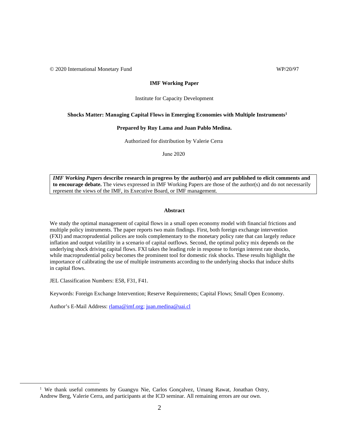© 2020 International Monetary Fund WP/20/97

#### **IMF Working Paper**

#### Institute for Capacity Development

#### **Shocks Matter: Managing Capital Flows in Emerging Economies with Multiple Instruments[1](#page-1-0)**

#### **Prepared by Ruy Lama and Juan Pablo Medina.**

Authorized for distribution by Valerie Cerra

June 2020

*IMF Working Papers* **describe research in progress by the author(s) and are published to elicit comments and to encourage debate.** The views expressed in IMF Working Papers are those of the author(s) and do not necessarily represent the views of the IMF, its Executive Board, or IMF management.

#### **Abstract**

We study the optimal management of capital flows in a small open economy model with financial frictions and multiple policy instruments. The paper reports two main findings. First, both foreign exchange intervention (FXI) and macroprudential polices are tools complementary to the monetary policy rate that can largely reduce inflation and output volatility in a scenario of capital outflows. Second, the optimal policy mix depends on the underlying shock driving capital flows. FXI takes the leading role in response to foreign interest rate shocks, while macroprudential policy becomes the prominent tool for domestic risk shocks. These results highlight the importance of calibrating the use of multiple instruments according to the underlying shocks that induce shifts in capital flows.

JEL Classification Numbers: E58, F31, F41.

Keywords: Foreign Exchange Intervention; Reserve Requirements; Capital Flows; Small Open Economy.

Author's E-Mail Address: [rlama@imf.org;](mailto:rlama@imf.org) [juan.medina@uai.cl](mailto:juan.medina@uai.cl)

<span id="page-1-0"></span><sup>&</sup>lt;sup>1</sup> We thank useful comments by Guangyu Nie, Carlos Gonçalvez, Umang Rawat, Jonathan Ostry, Andrew Berg, Valerie Cerra, and participants at the ICD seminar. All remaining errors are our own.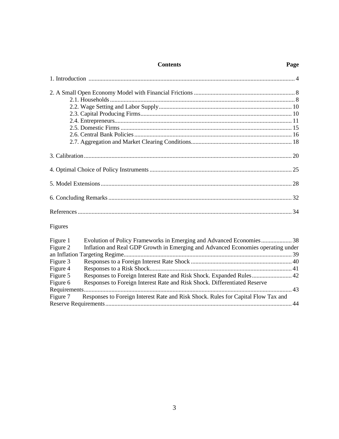#### **Contents**

| Figures |  |
|---------|--|

| Figure 1 | Evolution of Policy Frameworks in Emerging and Advanced Economies 38              |  |
|----------|-----------------------------------------------------------------------------------|--|
| Figure 2 | Inflation and Real GDP Growth in Emerging and Advanced Economies operating under  |  |
|          |                                                                                   |  |
| Figure 3 |                                                                                   |  |
| Figure 4 |                                                                                   |  |
| Figure 5 |                                                                                   |  |
| Figure 6 | Responses to Foreign Interest Rate and Risk Shock. Differentiated Reserve         |  |
|          |                                                                                   |  |
| Figure 7 | Responses to Foreign Interest Rate and Risk Shock. Rules for Capital Flow Tax and |  |
|          |                                                                                   |  |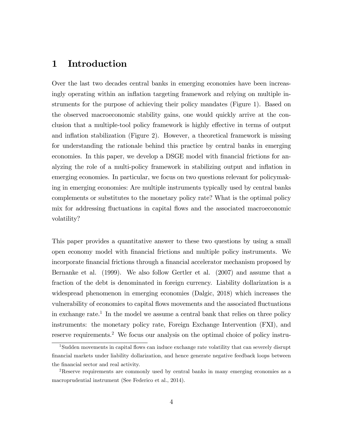## 1 Introduction

Over the last two decades central banks in emerging economies have been increasingly operating within an inflation targeting framework and relying on multiple instruments for the purpose of achieving their policy mandates (Figure 1). Based on the observed macroeconomic stability gains, one would quickly arrive at the conclusion that a multiple-tool policy framework is highly effective in terms of output and inflation stabilization (Figure 2). However, a theoretical framework is missing for understanding the rationale behind this practice by central banks in emerging economies. In this paper, we develop a DSGE model with financial frictions for analyzing the role of a multi-policy framework in stabilizing output and inflation in emerging economies. In particular, we focus on two questions relevant for policymaking in emerging economies: Are multiple instruments typically used by central banks complements or substitutes to the monetary policy rate? What is the optimal policy mix for addressing fluctuations in capital flows and the associated macroeconomic volatility?

This paper provides a quantitative answer to these two questions by using a small open economy model with Önancial frictions and multiple policy instruments. We incorporate financial frictions through a financial accelerator mechanism proposed by Bernanke et al. (1999). We also follow Gertler et al. (2007) and assume that a fraction of the debt is denominated in foreign currency. Liability dollarization is a widespread phenomenon in emerging economies (Dalgic, 2018) which increases the vulnerability of economies to capital flows movements and the associated fluctuations in exchange rate.<sup>1</sup> In the model we assume a central bank that relies on three policy instruments: the monetary policy rate, Foreign Exchange Intervention (FXI), and reserve requirements.<sup>2</sup> We focus our analysis on the optimal choice of policy instru-

<sup>&</sup>lt;sup>1</sup>Sudden movements in capital flows can induce exchange rate volatility that can severely disrupt Önancial markets under liability dollarization, and hence generate negative feedback loops between the financial sector and real activity.

<sup>2</sup>Reserve requirements are commonly used by central banks in many emerging economies as a macroprudential instrument (See Federico et al., 2014).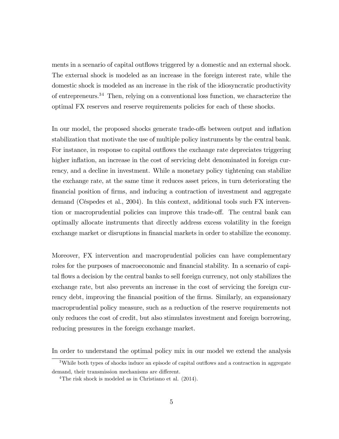ments in a scenario of capital outflows triggered by a domestic and an external shock. The external shock is modeled as an increase in the foreign interest rate, while the domestic shock is modeled as an increase in the risk of the idiosyncratic productivity of entrepreneurs.<sup>34</sup> Then, relying on a conventional loss function, we characterize the optimal FX reserves and reserve requirements policies for each of these shocks.

In our model, the proposed shocks generate trade-offs between output and inflation stabilization that motivate the use of multiple policy instruments by the central bank. For instance, in response to capital outflows the exchange rate depreciates triggering higher inflation, an increase in the cost of servicing debt denominated in foreign currency, and a decline in investment. While a monetary policy tightening can stabilize the exchange rate, at the same time it reduces asset prices, in turn deteriorating the Önancial position of Örms, and inducing a contraction of investment and aggregate demand (CÈspedes et al., 2004). In this context, additional tools such FX intervention or macroprudential policies can improve this trade-off. The central bank can optimally allocate instruments that directly address excess volatility in the foreign exchange market or disruptions in financial markets in order to stabilize the economy.

Moreover, FX intervention and macroprudential policies can have complementary roles for the purposes of macroeconomic and financial stability. In a scenario of capital flows a decision by the central banks to sell foreign currency, not only stabilizes the exchange rate, but also prevents an increase in the cost of servicing the foreign currency debt, improving the financial position of the firms. Similarly, an expansionary macroprudential policy measure, such as a reduction of the reserve requirements not only reduces the cost of credit, but also stimulates investment and foreign borrowing, reducing pressures in the foreign exchange market.

In order to understand the optimal policy mix in our model we extend the analysis

 $3$ While both types of shocks induce an episode of capital outflows and a contraction in aggregate demand, their transmission mechanisms are different.

<sup>&</sup>lt;sup>4</sup>The risk shock is modeled as in Christiano et al. (2014).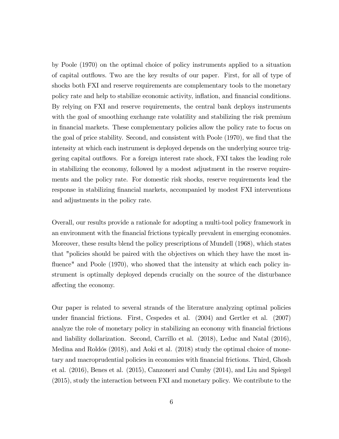by Poole (1970) on the optimal choice of policy instruments applied to a situation of capital outflows. Two are the key results of our paper. First, for all of type of shocks both FXI and reserve requirements are complementary tools to the monetary policy rate and help to stabilize economic activity, inflation, and financial conditions. By relying on FXI and reserve requirements, the central bank deploys instruments with the goal of smoothing exchange rate volatility and stabilizing the risk premium in Önancial markets. These complementary policies allow the policy rate to focus on the goal of price stability. Second, and consistent with Poole (1970), we find that the intensity at which each instrument is deployed depends on the underlying source triggering capital outflows. For a foreign interest rate shock, FXI takes the leading role in stabilizing the economy, followed by a modest adjustment in the reserve requirements and the policy rate. For domestic risk shocks, reserve requirements lead the response in stabilizing financial markets, accompanied by modest FXI interventions and adjustments in the policy rate.

Overall, our results provide a rationale for adopting a multi-tool policy framework in an environment with the Önancial frictions typically prevalent in emerging economies. Moreover, these results blend the policy prescriptions of Mundell (1968), which states that "policies should be paired with the objectives on which they have the most influence" and Poole (1970), who showed that the intensity at which each policy instrument is optimally deployed depends crucially on the source of the disturbance affecting the economy.

Our paper is related to several strands of the literature analyzing optimal policies under Önancial frictions. First, Cespedes et al. (2004) and Gertler et al. (2007) analyze the role of monetary policy in stabilizing an economy with financial frictions and liability dollarization. Second, Carrillo et al. (2018), Leduc and Natal (2016), Medina and Roldós (2018), and Aoki et al. (2018) study the optimal choice of monetary and macroprudential policies in economies with Önancial frictions. Third, Ghosh et al. (2016), Benes et al. (2015), Canzoneri and Cumby (2014), and Liu and Spiegel (2015), study the interaction between FXI and monetary policy. We contribute to the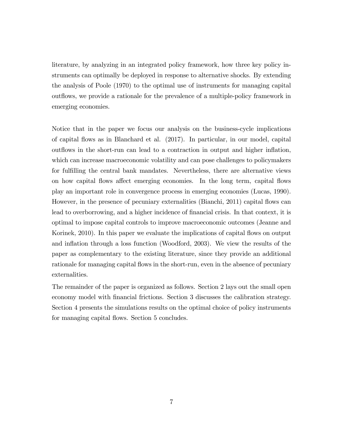literature, by analyzing in an integrated policy framework, how three key policy instruments can optimally be deployed in response to alternative shocks. By extending the analysis of Poole (1970) to the optimal use of instruments for managing capital out flows, we provide a rationale for the prevalence of a multiple-policy framework in emerging economies.

Notice that in the paper we focus our analysis on the business-cycle implications of capital áows as in Blanchard et al. (2017). In particular, in our model, capital outflows in the short-run can lead to a contraction in output and higher inflation, which can increase macroeconomic volatility and can pose challenges to policymakers for fulfilling the central bank mandates. Nevertheless, there are alternative views on how capital flows affect emerging economies. In the long term, capital flows play an important role in convergence process in emerging economies (Lucas, 1990). However, in the presence of pecuniary externalities (Bianchi, 2011) capital flows can lead to overborrowing, and a higher incidence of financial crisis. In that context, it is optimal to impose capital controls to improve macroeconomic outcomes (Jeanne and Korinek, 2010). In this paper we evaluate the implications of capital flows on output and inflation through a loss function (Woodford, 2003). We view the results of the paper as complementary to the existing literature, since they provide an additional rationale for managing capital flows in the short-run, even in the absence of pecuniary externalities.

The remainder of the paper is organized as follows. Section 2 lays out the small open economy model with financial frictions. Section 3 discusses the calibration strategy. Section 4 presents the simulations results on the optimal choice of policy instruments for managing capital flows. Section 5 concludes.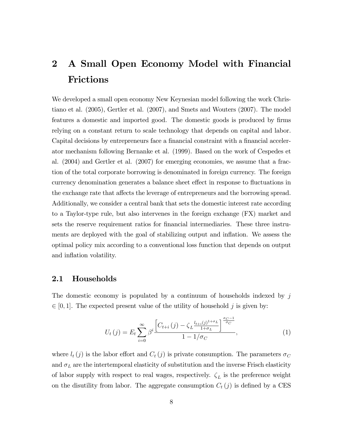## 2 A Small Open Economy Model with Financial Frictions

We developed a small open economy New Keynesian model following the work Christiano et al. (2005), Gertler et al. (2007), and Smets and Wouters (2007). The model features a domestic and imported good. The domestic goods is produced by firms relying on a constant return to scale technology that depends on capital and labor. Capital decisions by entrepreneurs face a financial constraint with a financial accelerator mechanism following Bernanke et al. (1999). Based on the work of Cespedes et al. (2004) and Gertler et al. (2007) for emerging economies, we assume that a fraction of the total corporate borrowing is denominated in foreign currency. The foreign currency denomination generates a balance sheet effect in response to fluctuations in the exchange rate that affects the leverage of entrepreneurs and the borrowing spread. Additionally, we consider a central bank that sets the domestic interest rate according to a Taylor-type rule, but also intervenes in the foreign exchange (FX) market and sets the reserve requirement ratios for financial intermediaries. These three instruments are deployed with the goal of stabilizing output and inflation. We assess the optimal policy mix according to a conventional loss function that depends on output and inflation volatility.

#### 2.1 Households

The domestic economy is populated by a continuum of households indexed by j  $\in [0, 1]$ . The expected present value of the utility of household j is given by:

$$
U_{t}(j) = E_{t} \sum_{i=0}^{\infty} \beta^{i} \frac{\left[C_{t+i}(j) - \zeta_{L} \frac{l_{t+i}(j)^{1+\sigma_{L}}}{1+\sigma_{L}}\right]^{\frac{\sigma_{C}-1}{\sigma_{C}}}}{1 - 1/\sigma_{C}},
$$
\n(1)

where  $l_t(j)$  is the labor effort and  $C_t(j)$  is private consumption. The parameters  $\sigma_C$ and  $\sigma_L$  are the intertemporal elasticity of substitution and the inverse Frisch elasticity of labor supply with respect to real wages, respectively.  $\zeta_L$  is the preference weight on the disutility from labor. The aggregate consumption  $C_t(j)$  is defined by a CES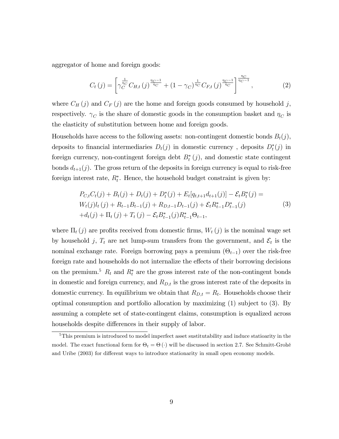aggregator of home and foreign goods:

$$
C_t(j) = \left[ \gamma_C^{\frac{1}{\eta_C}} C_{H,t}(j)^{\frac{\eta_C - 1}{\eta_C}} + (1 - \gamma_C)^{\frac{1}{\eta_C}} C_{F,t}(j)^{\frac{\eta_C - 1}{\eta_C}} \right]^{\frac{\eta_C}{\eta_C - 1}},
$$
(2)

where  $C_H(j)$  and  $C_F(j)$  are the home and foreign goods consumed by household j, respectively.  $\gamma_C$  is the share of domestic goods in the consumption basket and  $\eta_C$  is the elasticity of substitution between home and foreign goods.

Households have access to the following assets: non-contingent domestic bonds  $B_t(j)$ , deposits to financial intermediaries  $D_t(j)$  in domestic currency, deposits  $D_t^*(j)$  in foreign currency, non-contingent foreign debt  $B_t^*(j)$ , and domestic state contingent bonds  $d_{t+1}(j)$ . The gross return of the deposits in foreign currency is equal to risk-free foreign interest rate,  $R_t^*$ . Hence, the household budget constraint is given by:

$$
P_{C,t}C_t(j) + B_t(j) + D_t(j) + D_t^*(j) + E_t[q_{t,t+1}d_{t+1}(j)] - \mathcal{E}_t B_t^*(j) =
$$
  
\n
$$
W_t(j)l_t(j) + R_{t-1}B_{t-1}(j) + R_{D,t-1}D_{t-1}(j) + \mathcal{E}_t R_{t-1}^* D_{t-1}^*(j)
$$
  
\n
$$
+ d_t(j) + \Pi_t(j) + T_t(j) - \mathcal{E}_t B_{t-1}^*(j)R_{t-1}^* \Theta_{t-1},
$$
\n(3)

where  $\Pi_t(j)$  are profits received from domestic firms,  $W_t(j)$  is the nominal wage set by household  $j$ ,  $T_t$  are net lump-sum transfers from the government, and  $\mathcal{E}_t$  is the nominal exchange rate. Foreign borrowing pays a premium  $(\Theta_{t-1})$  over the risk-free foreign rate and households do not internalize the effects of their borrowing decisions on the premium.<sup>5</sup>  $R_t$  and  $R_t^*$  are the gross interest rate of the non-contingent bonds in domestic and foreign currency, and  $R_{D,t}$  is the gross interest rate of the deposits in domestic currency. In equilibrium we obtain that  $R_{D,t} = R_t$ . Households choose their optimal consumption and portfolio allocation by maximizing (1) subject to (3). By assuming a complete set of state-contingent claims, consumption is equalized across households despite differences in their supply of labor.

<sup>&</sup>lt;sup>5</sup>This premium is introduced to model imperfect asset sustitutability and induce statioarity in the model. The exact functional form for  $\Theta_t = \Theta(\cdot)$  will be discussed in section 2.7. See Schmitt-Grohé and Uribe (2003) for different ways to introduce stationarity in small open economy models.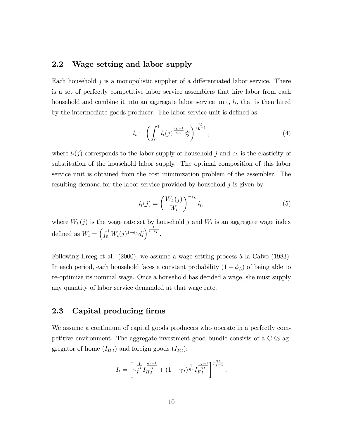## 2.2 Wage setting and labor supply

Each household  $j$  is a monopolistic supplier of a differentiated labor service. There is a set of perfectly competitive labor service assemblers that hire labor from each household and combine it into an aggregate labor service unit,  $l_t$ , that is then hired by the intermediate goods producer. The labor service unit is defined as

$$
l_t = \left(\int_0^1 l_t(j)^{\frac{\epsilon_L - 1}{\epsilon_L}} dj\right)^{\frac{\epsilon_L}{\epsilon_L - 1}},\tag{4}
$$

where  $l_t(j)$  corresponds to the labor supply of household j and  $\epsilon_L$  is the elasticity of substitution of the household labor supply. The optimal composition of this labor service unit is obtained from the cost minimization problem of the assembler. The resulting demand for the labor service provided by household  $j$  is given by:

$$
l_t(j) = \left(\frac{W_t(j)}{W_t}\right)^{-\epsilon_L} l_t,
$$
\n(5)

where  $W_t(j)$  is the wage rate set by household j and  $W_t$  is an aggregate wage index defined as  $W_t = \left(\int_0^1 W_t(j)^{1-\epsilon_L}dj\right)^{\frac{1}{1-\epsilon_L}}$ .

Following Erceg et al.  $(2000)$ , we assume a wage setting process à la Calvo  $(1983)$ . In each period, each household faces a constant probability  $(1 - \phi_L)$  of being able to re-optimize its nominal wage. Once a household has decided a wage, she must supply any quantity of labor service demanded at that wage rate.

#### 2.3 Capital producing firms

We assume a continuum of capital goods producers who operate in a perfectly competitive environment. The aggregate investment good bundle consists of a CES aggregator of home  $(I_{H,t})$  and foreign goods  $(I_{F,t})$ :

$$
I_t = \left[ \gamma_I^{\frac{1}{\eta_I}} I_{H,t}^{\frac{\eta_I - 1}{\eta_I}} + (1 - \gamma_I)^{\frac{1}{\eta_I}} I_{F,t}^{\frac{\eta_I - 1}{\eta_I}} \right]^{\frac{\eta_I}{\eta_I - 1}},
$$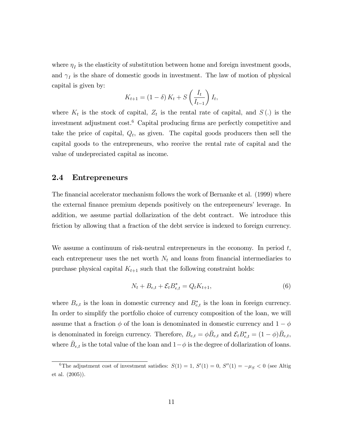where  $\eta_I$  is the elasticity of substitution between home and foreign investment goods, and  $\gamma_I$  is the share of domestic goods in investment. The law of motion of physical capital is given by:

$$
K_{t+1} = (1 - \delta) K_t + S\left(\frac{I_t}{I_{t-1}}\right) I_t,
$$

where  $K_t$  is the stock of capital,  $Z_t$  is the rental rate of capital, and  $S(t)$  is the investment adjustment  $cost<sup>6</sup>$  Capital producing firms are perfectly competitive and take the price of capital,  $Q_t$ , as given. The capital goods producers then sell the capital goods to the entrepreneurs, who receive the rental rate of capital and the value of undepreciated capital as income.

#### 2.4 Entrepreneurs

The financial accelerator mechanism follows the work of Bernanke et al. (1999) where the external finance premium depends positively on the entrepreneurs' leverage. In addition, we assume partial dollarization of the debt contract. We introduce this friction by allowing that a fraction of the debt service is indexed to foreign currency.

We assume a continuum of risk-neutral entrepreneurs in the economy. In period  $t$ , each entrepreneur uses the net worth  $N_t$  and loans from financial intermediaries to purchase physical capital  $K_{t+1}$  such that the following constraint holds:

$$
N_t + B_{e,t} + \mathcal{E}_t B_{e,t}^* = Q_t K_{t+1},
$$
\n(6)

where  $B_{e,t}$  is the loan in domestic currency and  $B_{e,t}^*$  is the loan in foreign currency. In order to simplify the portfolio choice of currency composition of the loan, we will assume that a fraction  $\phi$  of the loan is denominated in domestic currency and  $1-\phi$ is denominated in foreign currency. Therefore,  $B_{e,t} = \phi \bar{B}_{e,t}$  and  $\mathcal{E}_t B_{e,t}^* = (1 - \phi) \bar{B}_{e,t}$ , where  $\bar{B}_{e,t}$  is the total value of the loan and  $1-\phi$  is the degree of dollarization of loans.

<sup>&</sup>lt;sup>6</sup>The adjustment cost of investment satisfies:  $S(1) = 1$ ,  $S'(1) = 0$ ,  $S''(1) = -\mu_S < 0$  (see Altig et al. (2005)).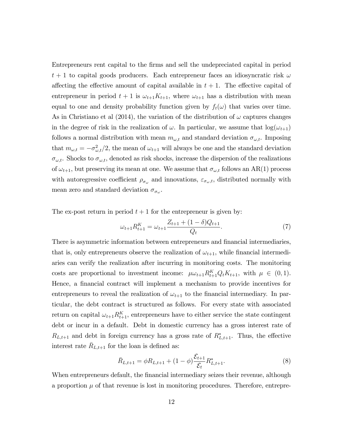Entrepreneurs rent capital to the Örms and sell the undepreciated capital in period  $t + 1$  to capital goods producers. Each entrepreneur faces an idiosyncratic risk  $\omega$ affecting the effective amount of capital available in  $t + 1$ . The effective capital of entrepreneur in period  $t + 1$  is  $\omega_{t+1}K_{t+1}$ , where  $\omega_{t+1}$  has a distribution with mean equal to one and density probability function given by  $f_t(\omega)$  that varies over time. As in Christiano et al (2014), the variation of the distribution of  $\omega$  captures changes in the degree of risk in the realization of  $\omega$ . In particular, we assume that  $\log(\omega_{t+1})$ follows a normal distribution with mean  $m_{\omega,t}$  and standard deviation  $\sigma_{\omega,t}$ . Imposing that  $m_{\omega,t} = -\sigma_{\omega,t}^2/2$ , the mean of  $\omega_{t+1}$  will always be one and the standard deviation  $\sigma_{\omega,t}$ . Shocks to  $\sigma_{\omega,t}$ , denoted as risk shocks, increase the dispersion of the realizations of  $\omega_{t+1}$ , but preserving its mean at one. We assume that  $\sigma_{\omega,t}$  follows an AR(1) process with autoregressive coefficient  $\rho_{\sigma_{\omega}}$  and innovations,  $\varepsilon_{\sigma_{\omega},t}$ , distributed normally with mean zero and standard deviation  $\sigma_{\sigma_{\omega}}$ .

The ex-post return in period  $t + 1$  for the entrepreneur is given by:

$$
\omega_{t+1} R_{t+1}^K = \omega_{t+1} \frac{Z_{t+1} + (1 - \delta)Q_{t+1}}{Q_t}.
$$
\n
$$
(7)
$$

There is asymmetric information between entrepreneurs and financial intermediaries, that is, only entrepreneurs observe the realization of  $\omega_{t+1}$ , while financial intermediaries can verify the realization after incurring in monitoring costs. The monitoring costs are proportional to investment income:  $\mu \omega_{t+1} R_{t+1}^K Q_t K_{t+1}$ , with  $\mu \in (0, 1)$ . Hence, a financial contract will implement a mechanism to provide incentives for entrepreneurs to reveal the realization of  $\omega_{t+1}$  to the financial intermediary. In particular, the debt contract is structured as follows. For every state with associated return on capital  $\omega_{t+1} R_{t+1}^K$ , entrepreneurs have to either service the state contingent debt or incur in a default. Debt in domestic currency has a gross interest rate of  $R_{L,t+1}$  and debt in foreign currency has a gross rate of  $R_{L,t+1}^*$ . Thus, the effective interest rate  $\bar{R}_{L,t+1}$  for the loan is defined as:

$$
\bar{R}_{L,t+1} = \phi R_{L,t+1} + (1 - \phi) \frac{\mathcal{E}_{t+1}}{\mathcal{E}_t} R_{L,t+1}^*.
$$
\n(8)

When entrepreneurs default, the financial intermediary seizes their revenue, although a proportion  $\mu$  of that revenue is lost in monitoring procedures. Therefore, entrepre-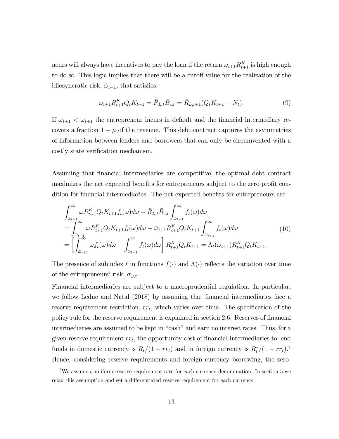neurs will always have incentives to pay the loan if the return  $\omega_{t+1} R_{t+1}^K$  is high enough to do so. This logic implies that there will be a cutoff value for the realization of the idiosyncratic risk,  $\bar{\omega}_{t+1}$ , that satisfies:

$$
\bar{\omega}_{t+1} R_{t+1}^K Q_t K_{t+1} = \bar{R}_{L,t} \bar{B}_{e,t} = \bar{R}_{L,t+1} (Q_t K_{t+1} - N_t). \tag{9}
$$

If  $\omega_{t+1} < \bar{\omega}_{t+1}$  the entrepreneur incurs in default and the financial intermediary recovers a fraction  $1 - \mu$  of the revenue. This debt contract captures the asymmetries of information between lenders and borrowers that can only be circumvented with a costly state verification mechanism.

Assuming that Önancial intermediaries are competitive, the optimal debt contract maximizes the net expected benefits for entrepreneurs subject to the zero profit condition for financial intermediaries. The net expected benefits for entrepreneurs are:

$$
\int_{\bar{\omega}_{t+1}}^{\infty} \omega R_{t+1}^{K} Q_t K_{t+1} f_t(\omega) d\omega - \bar{R}_{L,t} \bar{B}_{e,t} \int_{\bar{\omega}_{t+1}}^{\infty} f_t(\omega) d\omega \n= \int_{\bar{\omega}_{t+1}}^{\infty} \omega R_{t+1}^{K} Q_t K_{t+1} f_t(\omega) d\omega - \bar{\omega}_{t+1} R_{t+1}^{K} Q_t K_{t+1} \int_{\bar{\omega}_{t+1}}^{\infty} f_t(\omega) d\omega \n= \left[ \int_{\bar{\omega}_{t+1}}^{\infty} \omega f_t(\omega) d\omega - \int_{\bar{\omega}_{t+1}}^{\infty} f_t(\omega) d\omega \right] R_{t+1}^{K} Q_t K_{t+1} = \Lambda_t(\bar{\omega}_{t+1}) R_{t+1}^{K} Q_t K_{t+1}.
$$
\n(10)

The presence of subindex t in functions  $f(\cdot)$  and  $\Lambda(\cdot)$  reflects the variation over time of the entrepreneurs' risk,  $\sigma_{\omega,t}$ .

Financial intermediaries are subject to a macroprudential regulation. In particular, we follow Leduc and Natal (2018) by assuming that financial intermediaries face a reserve requirement restriction,  $rr_t$ , which varies over time. The specification of the policy rule for the reserve requirement is explained in section 2.6. Reserves of financial intermediaries are assumed to be kept in "cash" and earn no interest rates. Thus, for a given reserve requirement  $rr_t$ , the opportunity cost of financial intermediaries to lend funds in domestic currency is  $R_t/(1 - rr_t)$  and in foreign currency is  $R_t^*/(1 - rr_t)$ .<sup>7</sup> Hence, considering reserve requirements and foreign currency borrowing, the zero-

<sup>7</sup>We assume a uniform reserve requirement rate for each currency denomination. In section 5 we relax this assumption and set a differentiated reserve requirement for each currency.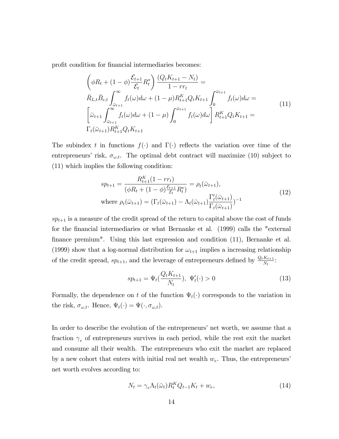profit condition for financial intermediaries becomes:

$$
\left(\phi R_t + (1 - \phi) \frac{\mathcal{E}_{t+1}}{\mathcal{E}_t} R_t^*\right) \frac{(Q_t K_{t+1} - N_t)}{1 - r r_t} =
$$
\n
$$
\bar{R}_{L,t} \bar{B}_{e,t} \int_{\bar{\omega}_{t+1}}^{\infty} f_t(\omega) d\omega + (1 - \mu) R_{t+1}^K Q_t K_{t+1} \int_0^{\bar{\omega}_{t+1}} f_t(\omega) d\omega =
$$
\n
$$
\left[\bar{\omega}_{t+1} \int_{\bar{\omega}_{t+1}}^{\infty} f_t(\omega) d\omega + (1 - \mu) \int_0^{\bar{\omega}_{t+1}} f_t(\omega) d\omega\right] R_{t+1}^K Q_t K_{t+1} =
$$
\n
$$
\Gamma_t(\bar{\omega}_{t+1}) R_{t+1}^K Q_t K_{t+1}
$$
\n(11)

The subindex t in functions  $f(\cdot)$  and  $\Gamma(\cdot)$  reflects the variation over time of the entrepreneurs' risk,  $\sigma_{\omega,t}$ . The optimal debt contract will maximize (10) subject to (11) which implies the following condition:

$$
sp_{t+1} = \frac{R_{t+1}^{K}(1 - rr_t)}{(\phi R_t + (1 - \phi)\frac{\varepsilon_{t+1}}{\varepsilon_t} R_t^*)} = \rho_t(\bar{\omega}_{t+1}),
$$
  
where  $\rho_t(\bar{\omega}_{t+1}) = (\Gamma_t(\bar{\omega}_{t+1}) - \Lambda_t(\bar{\omega}_{t+1})\frac{\Gamma_t'(\bar{\omega}_{t+1})}{\Gamma_t(\bar{\omega}_{t+1})})^{-1}$  (12)

 $sp_{t+1}$  is a measure of the credit spread of the return to capital above the cost of funds for the Önancial intermediaries or what Bernanke et al. (1999) calls the "external finance premium". Using this last expression and condition (11), Bernanke et al. (1999) show that a log-normal distribution for  $\omega_{t+1}$  implies a increasing relationship of the credit spread,  $sp_{t+1}$ , and the leverage of entrepreneurs defined by  $\frac{Q_t K_{t+1}}{N_t}$ :

$$
sp_{t+1} = \Psi_t(\frac{Q_t K_{t+1}}{N_t}), \ \Psi'_t(\cdot) > 0 \tag{13}
$$

Formally, the dependence on t of the function  $\Psi_t(\cdot)$  corresponds to the variation in the risk,  $\sigma_{\omega,t}$ . Hence,  $\Psi_t(\cdot) = \Psi(\cdot, \sigma_{\omega,t})$ .

In order to describe the evolution of the entrepreneurs' net worth, we assume that a fraction  $\gamma_e$  of entrepreneurs survives in each period, while the rest exit the market and consume all their wealth. The entrepreneurs who exit the market are replaced by a new cohort that enters with initial real net wealth  $w_e$ . Thus, the entrepreneurs<sup>†</sup> net worth evolves according to:

$$
N_t = \gamma_e \Lambda_t(\bar{\omega}_t) R_t^K Q_{t-1} K_t + w_e, \qquad (14)
$$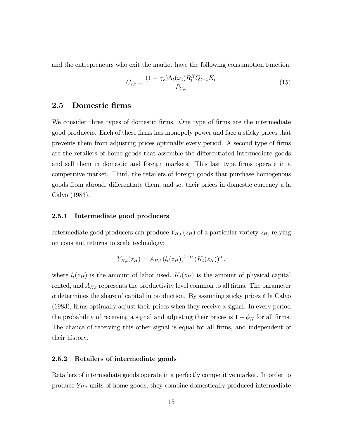and the entrepreneurs who exit the market have the following consumption function:

$$
C_{e,t} = \frac{(1 - \gamma_e)\Lambda_t(\bar{\omega}_t)R_t^K Q_{t-1}K_t}{P_{C,t}}
$$
\n
$$
(15)
$$

#### 2.5 Domestic firms

We consider three types of domestic firms. One type of firms are the intermediate good producers. Each of these Örms has monopoly power and face a sticky prices that prevents them from adjusting prices optimally every period. A second type of Örms are the retailers of home goods that assemble the differentiated intermediate goods and sell them in domestic and foreign markets. This last type firms operate in a competitive market. Third, the retailers of foreign goods that purchase homogenous goods from abroad, differentiate them, and set their prices in domestic currency a la Calvo (1983).

#### 2.5.1 Intermediate good producers

Intermediate good producers can produce  $Y_{H,t}(z_H)$  of a particular variety  $z_H$ , relying on constant returns to scale technology:

$$
Y_{H,t}(z_H) = A_{H,t} (l_t(z_H))^{1-\alpha} (K_t(z_H))^{\alpha},
$$

where  $l_t(z_H)$  is the amount of labor used,  $K_t(z_H)$  is the amount of physical capital rented, and  $A_{H,t}$  represents the productivity level common to all firms. The parameter  $\alpha$  determines the share of capital in production. By assuming sticky prices a la Calvo (1983), Örms optimally adjust their prices when they receive a signal. In every period the probability of receiving a signal and adjusting their prices is  $1 - \phi_H$  for all firms. The chance of receiving this other signal is equal for all firms, and independent of their history.

#### 2.5.2 Retailers of intermediate goods

Retailers of intermediate goods operate in a perfectly competitive market. In order to produce  $Y_{H,t}$  units of home goods, they combine domestically produced intermediate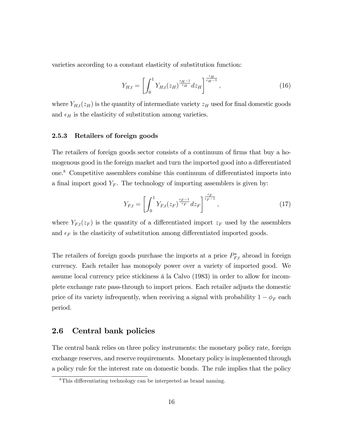varieties according to a constant elasticity of substitution function:

$$
Y_{H,t} = \left[ \int_0^1 Y_{H,t}(z_H)^{\frac{\epsilon_H - 1}{\epsilon_H}} dz_H \right]^{\frac{\epsilon_H}{\epsilon_H - 1}},
$$
\n(16)

where  $Y_{H,t}(z_H)$  is the quantity of intermediate variety  $z_H$  used for final domestic goods and  $\epsilon_H$  is the elasticity of substitution among varieties.

#### 2.5.3 Retailers of foreign goods

The retailers of foreign goods sector consists of a continuum of firms that buy a homogenous good in the foreign market and turn the imported good into a differentiated one.<sup>8</sup> Competitive assemblers combine this continuum of differentiated imports into a final import good  $Y_F$ . The technology of importing assemblers is given by:

$$
Y_{F,t} = \left[ \int_0^1 Y_{F,t}(z_F)^{\frac{\epsilon_F - 1}{\epsilon_F}} dz_F \right]^{\frac{\epsilon_F}{\epsilon_F - 1}}, \tag{17}
$$

where  $Y_{F,t}(z_F)$  is the quantity of a differentiated import  $z_F$  used by the assemblers and  $\epsilon_F$  is the elasticity of substitution among differentiated imported goods.

The retailers of foreign goods purchase the imports at a price  $P_{F,t}^*$  abroad in foreign currency. Each retailer has monopoly power over a variety of imported good. We assume local currency price stickiness a la Calvo (1983) in order to allow for incomplete exchange rate pass-through to import prices. Each retailer adjusts the domestic price of its variety infrequently, when receiving a signal with probability  $1 - \phi_F$  each period.

#### 2.6 Central bank policies

The central bank relies on three policy instruments: the monetary policy rate, foreign exchange reserves, and reserve requirements. Monetary policy is implemented through a policy rule for the interest rate on domestic bonds. The rule implies that the policy

<sup>&</sup>lt;sup>8</sup>This differentiating technology can be interpreted as brand naming.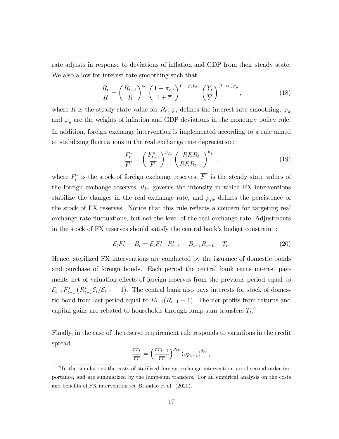rate adjusts in response to deviations of inflation and GDP from their steady state. We also allow for interest rate smoothing such that:

$$
\frac{R_t}{\bar{R}} = \left(\frac{R_{t-1}}{\bar{R}}\right)^{\varphi_i} \left(\frac{1+\pi_{c,t}}{1+\bar{\pi}}\right)^{(1-\varphi_i)\varphi_{\pi}} \left(\frac{Y_t}{\bar{Y}}\right)^{(1-\varphi_i)\varphi_y},\tag{18}
$$

where  $\overline{R}$  is the steady state value for  $R_t$ ,  $\varphi_i$  defines the interest rate smoothing,  $\varphi_{\pi}$ and  $\varphi_y$  are the weights of inflation and GDP deviations in the monetary policy rule. In addition, foreign exchange intervention is implemented according to a rule aimed at stabilizing fluctuations in the real exchange rate depreciation:

$$
\frac{F_t^*}{\overline{F}^*} = \left(\frac{F_{t-1}^*}{\overline{F}^*}\right)^{\rho_{fx}} \left(\frac{RER_t}{RER_{t-1}}\right)^{\theta_{fx}},\tag{19}
$$

where  $F_t^*$  is the stock of foreign exchange reserves,  $\overline{F}^*$  is the steady state values of the foreign exchange reserves,  $\theta_{fx}$  governs the intensity in which FX interventions stabilize the changes in the real exchange rate, and  $\rho_{fx}$  defines the persistence of the stock of FX reserves. Notice that this rule reflects a concern for targeting real exchange rate fluctuations, but not the level of the real exchange rate. Adjustments in the stock of  $FX$  reserves should satisfy the central bank's budget constraint :

$$
\mathcal{E}_t F_t^* - B_t = \mathcal{E}_t F_{t-1}^* R_{t-1}^* - B_{t-1} R_{t-1} - T_t, \tag{20}
$$

Hence, sterilized FX interventions are conducted by the issuance of domestic bonds and purchase of foreign bonds. Each period the central bank earns interest payments net of valuation effects of foreign reserves from the previous period equal to  $\mathcal{E}_{t-1}F_{t-1}^*\left(R_{t-1}^*\mathcal{E}_t/\mathcal{E}_{t-1}-1\right)$ . The central bank also pays interests for stock of domestic bond from last period equal to  $B_{t-1}(R_{t-1} - 1)$ . The net profits from returns and capital gains are rebated to households through lump-sum transfers  $T_t$ <sup>9</sup>

Finally, in the case of the reserve requirement rule responds to variations in the credit spread:

$$
\frac{rr_t}{\overline{rr}} = \left(\frac{rr_{t-1}}{\overline{rr}}\right)^{\rho_{rr}} \left(sp_{t-1}\right)^{\theta_{rr}},
$$

<sup>&</sup>lt;sup>9</sup>In the simulations the costs of sterilized foreign exchange intervention are of second order importance, and are summarized by the lump-sum transfers. For an empirical analysis on the costs and benefits of FX intervention see Brandao et al.  $(2020)$ .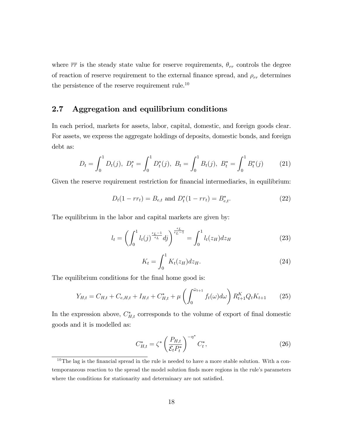where  $\overline{rr}$  is the steady state value for reserve requirements,  $\theta_{rr}$  controls the degree of reaction of reserve requirement to the external finance spread, and  $\rho_{rr}$  determines the persistence of the reserve requirement rule.<sup>10</sup>

## 2.7 Aggregation and equilibrium conditions

In each period, markets for assets, labor, capital, domestic, and foreign goods clear. For assets, we express the aggregate holdings of deposits, domestic bonds, and foreign debt as:

$$
D_t = \int_0^1 D_t(j), \ D_t^* = \int_0^1 D_t^*(j), \ B_t = \int_0^1 B_t(j), \ B_t^* = \int_0^1 B_t^*(j) \tag{21}
$$

Given the reserve requirement restriction for financial intermediaries, in equilibrium:

$$
D_t(1 - rr_t) = B_{e,t} \text{ and } D_t^*(1 - rr_t) = B_{e,t}^*.
$$
 (22)

The equilibrium in the labor and capital markets are given by:

$$
l_t = \left(\int_0^1 l_t(j)^{\frac{\epsilon_L - 1}{\epsilon_L}} dj\right)^{\frac{\epsilon_L}{\epsilon_L - 1}} = \int_0^1 l_t(z_H) dz_H \tag{23}
$$

$$
K_t = \int_0^1 K_t(z_H) dz_H.
$$
\n(24)

The equilibrium conditions for the final home good is:

$$
Y_{H,t} = C_{H,t} + C_{e,H,t} + I_{H,t} + C_{H,t}^* + \mu \left( \int_0^{\bar{\omega}_{t+1}} f_t(\omega) d\omega \right) R_{t+1}^K Q_t K_{t+1} \tag{25}
$$

In the expression above,  $C_{H,t}^*$  corresponds to the volume of export of final domestic goods and it is modelled as:

$$
C_{H,t}^* = \zeta^* \left(\frac{P_{H,t}}{\mathcal{E}_t P_t^*}\right)^{-\eta^*} C_t^*,
$$
\n(26)

 $10$ The lag is the financial spread in the rule is needed to have a more stable solution. With a contemporaneous reaction to the spread the model solution finds more regions in the rule's parameters where the conditions for stationarity and determinacy are not satisfied.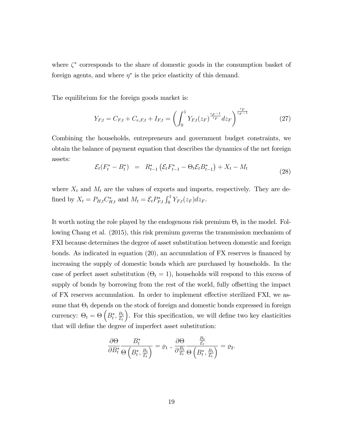where  $\zeta^*$  corresponds to the share of domestic goods in the consumption basket of foreign agents, and where  $\eta^*$  is the price elasticity of this demand.

The equilibrium for the foreign goods market is:

$$
Y_{F,t} = C_{F,t} + C_{e,F,t} + I_{F,t} = \left(\int_0^1 Y_{F,t}(z_F)^{\frac{\epsilon_F - 1}{\epsilon_F}} dz_F\right)^{\frac{\epsilon_F}{\epsilon_F - 1}}
$$
(27)

Combining the households, entrepreneurs and government budget constraints, we obtain the balance of payment equation that describes the dynamics of the net foreign assets:

$$
\mathcal{E}_t(F_t^* - B_t^*) = R_{t-1}^* \left( \mathcal{E}_t F_{t-1}^* - \Theta_t \mathcal{E}_t B_{t-1}^* \right) + X_t - M_t \tag{28}
$$

where  $X_t$  and  $M_t$  are the values of exports and imports, respectively. They are defined by  $X_t = P_{H,t} C_{H,t}^*$  and  $M_t = \mathcal{E}_t P_{F,t}^* \int_0^1 Y_{F,t}(z_F) dz_F$ .

It worth noting the role played by the endogenous risk premium  $\Theta_t$  in the model. Following Chang et al. (2015), this risk premium governs the transmission mechanism of FXI because determines the degree of asset substitution between domestic and foreign bonds. As indicated in equation  $(20)$ , an accumulation of FX reserves is financed by increasing the supply of domestic bonds which are purchased by households. In the case of perfect asset substitution  $(\Theta_t = 1)$ , households will respond to this excess of supply of bonds by borrowing from the rest of the world, fully offsetting the impact of FX reserves accumulation. In order to implement effective sterilized FXI, we assume that  $\Theta_t$  depends on the stock of foreign and domestic bonds expressed in foreign currency:  $\Theta_t = \Theta\left(B_t^*, \frac{B_t}{\mathcal{E}_t}\right)$  $\varepsilon_t$ ). For this specification, we will define two key elasticities that will define the degree of imperfect asset substitution:

$$
\frac{\partial \Theta}{\partial B_t^*} \frac{B_t^*}{\Theta\left(B_t^*, \frac{B_t}{\mathcal{E}_t}\right)} = \varrho_1 \ , \ \frac{\partial \Theta}{\partial \frac{B_t}{\mathcal{E}_t}} \frac{\frac{B_t}{\mathcal{E}_t}}{\Theta\left(B_t^*, \frac{B_t}{\mathcal{E}_t}\right)} = \varrho_2.
$$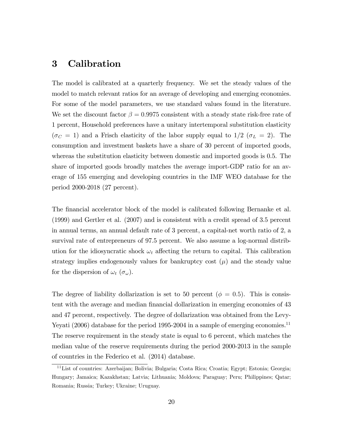## 3 Calibration

The model is calibrated at a quarterly frequency. We set the steady values of the model to match relevant ratios for an average of developing and emerging economies. For some of the model parameters, we use standard values found in the literature. We set the discount factor  $\beta = 0.9975$  consistent with a steady state risk-free rate of 1 percent, Household preferences have a unitary intertemporal substitution elasticity  $(\sigma_C = 1)$  and a Frisch elasticity of the labor supply equal to  $1/2$  ( $\sigma_L = 2$ ). The consumption and investment baskets have a share of 30 percent of imported goods, whereas the substitution elasticity between domestic and imported goods is 0.5. The share of imported goods broadly matches the average import-GDP ratio for an average of 155 emerging and developing countries in the IMF WEO database for the period 2000-2018 (27 percent).

The financial accelerator block of the model is calibrated following Bernanke et al. (1999) and Gertler et al. (2007) and is consistent with a credit spread of 3.5 percent in annual terms, an annual default rate of 3 percent, a capital-net worth ratio of 2, a survival rate of entrepreneurs of 97.5 percent. We also assume a log-normal distribution for the idiosyncratic shock  $\omega_t$  affecting the return to capital. This calibration strategy implies endogenously values for bankruptcy cost  $(\mu)$  and the steady value for the dispersion of  $\omega_t$  ( $\sigma_\omega$ ).

The degree of liability dollarization is set to 50 percent ( $\phi = 0.5$ ). This is consistent with the average and median financial dollarization in emerging economies of 43 and 47 percent, respectively. The degree of dollarization was obtained from the Levy-Yeyati (2006) database for the period 1995-2004 in a sample of emerging economies.<sup>11</sup> The reserve requirement in the steady state is equal to 6 percent, which matches the median value of the reserve requirements during the period 2000-2013 in the sample of countries in the Federico et al. (2014) database.

<sup>&</sup>lt;sup>11</sup>List of countries: Azerbaijan; Bolivia; Bulgaria; Costa Rica; Croatia; Egypt; Estonia; Georgia; Hungary; Jamaica; Kazakhstan; Latvia; Lithuania; Moldova; Paraguay; Peru; Philippines; Qatar; Romania; Russia; Turkey; Ukraine; Uruguay.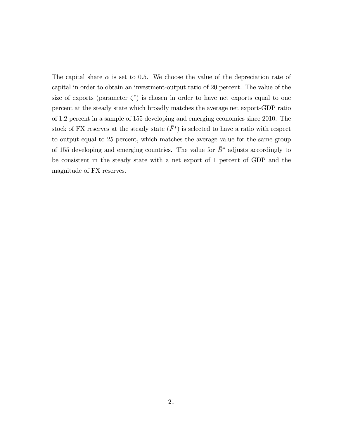The capital share  $\alpha$  is set to 0.5. We choose the value of the depreciation rate of capital in order to obtain an investment-output ratio of 20 percent. The value of the size of exports (parameter  $\zeta^*$ ) is chosen in order to have net exports equal to one percent at the steady state which broadly matches the average net export-GDP ratio of 1.2 percent in a sample of 155 developing and emerging economies since 2010. The stock of FX reserves at the steady state  $(\bar{F}^*)$  is selected to have a ratio with respect to output equal to 25 percent, which matches the average value for the same group of 155 developing and emerging countries. The value for  $\bar{B}^*$  adjusts accordingly to be consistent in the steady state with a net export of 1 percent of GDP and the magnitude of FX reserves.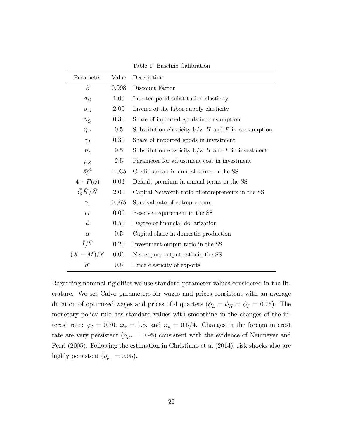| Parameter                   | Value   | Description                                          |
|-----------------------------|---------|------------------------------------------------------|
| $\beta$                     | 0.998   | Discount Factor                                      |
| $\sigma_C$                  | 1.00    | Intertemporal substitution elasticity                |
| $\sigma_L$                  | 2.00    | Inverse of the labor supply elasticity               |
| $\gamma_C$                  | 0.30    | Share of imported goods in consumption               |
| $\eta_C$                    | $0.5\,$ | Substitution elasticity $b/w$ H and F in consumption |
| $\gamma_I$                  | 0.30    | Share of imported goods in investment                |
| $\eta_I$                    | $0.5\,$ | Substitution elasticity $b/w$ H and F in investment  |
| $\mu_S$                     | 2.5     | Parameter for adjustment cost in investment          |
| $\bar{sp}^4$                | 1.035   | Credit spread in annual terms in the SS              |
| $4 \times F(\bar{\omega})$  | 0.03    | Default premium in annual terms in the SS            |
| $\bar Q \bar K/\bar N$      | 2.00    | Capital-Networth ratio of entrepreneurs in the SS    |
| $\gamma_e$                  | 0.975   | Survival rate of entrepreneurs                       |
| $\bar{rr}$                  | 0.06    | Reserve requirement in the SS                        |
| $\phi$                      | 0.50    | Degree of financial dollarization                    |
| $\alpha$                    | $0.5\,$ | Capital share in domestic production                 |
| $\bar{I}/\bar{Y}$           | 0.20    | Investment-output ratio in the SS                    |
| $(\bar{X}-\bar{M})/\bar{Y}$ | 0.01    | Net export-output ratio in the SS                    |
| $\eta^*$                    | 0.5     | Price elasticity of exports                          |

Table 1: Baseline Calibration

Regarding nominal rigidities we use standard parameter values considered in the literature. We set Calvo parameters for wages and prices consistent with an average duration of optimized wages and prices of 4 quarters ( $\phi_L = \phi_H = \phi_F = 0.75$ ). The monetary policy rule has standard values with smoothing in the changes of the interest rate:  $\varphi_i = 0.70$ ,  $\varphi_{\pi} = 1.5$ , and  $\varphi_y = 0.5/4$ . Changes in the foreign interest rate are very persistent ( $\rho_{R^*} = 0.95$ ) consistent with the evidence of Neumeyer and Perri (2005). Following the estimation in Christiano et al (2014), risk shocks also are highly persistent ( $\rho_{\sigma_{\omega}} = 0.95$ ).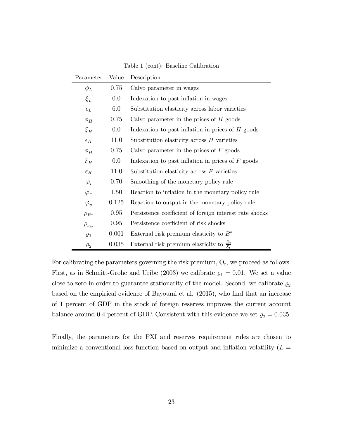| Parameter                | Value | Description                                                     |
|--------------------------|-------|-----------------------------------------------------------------|
| $\phi_L$                 | 0.75  | Calvo parameter in wages                                        |
| $\xi_L$                  | 0.0   | Indexation to past inflation in wages                           |
| $\epsilon_L$             | 6.0   | Substitution elasticity across labor varieties                  |
| $\phi_H$                 | 0.75  | Calvo parameter in the prices of $H$ goods                      |
| $\xi_H$                  | 0.0   | Indexation to past inflation in prices of $H$ goods             |
| $\epsilon_H$             | 11.0  | Substitution elasticity across $H$ varieties                    |
| $\phi_H$                 | 0.75  | Calvo parameter in the prices of $F$ goods                      |
| $\xi_H$                  | 0.0   | Indexation to past inflation in prices of $F$ goods             |
| $\epsilon_H$             | 11.0  | Substitution elasticity across $F$ varieties                    |
| $\varphi_i$              | 0.70  | Smoothing of the monetary policy rule                           |
| $\varphi_{\pi}$          | 1.50  | Reaction to inflation in the monetary policy rule               |
| $\varphi_y$              | 0.125 | Reaction to output in the monetary policy rule                  |
| $\rho_{R^*}$             | 0.95  | Persistence coefficient of foreign interest rate shocks         |
| $\rho_{\sigma_{\omega}}$ | 0.95  | Persistence coefficient of risk shocks                          |
| $\varrho_1$              | 0.001 | External risk premium elasticity to $B^*$                       |
| $\varrho_2$              | 0.035 | External risk premium elasticity to $\frac{B_t}{\mathcal{E}_t}$ |

Table 1 (cont): Baseline Calibration

For calibrating the parameters governing the risk premium,  $\Theta_t$ , we proceed as follows. First, as in Schmitt-Grohe and Uribe (2003) we calibrate  $\rho_1 = 0.01$ . We set a value close to zero in order to guarantee stationarity of the model. Second, we calibrate  $\varrho_2$ based on the empirical evidence of Bayoumi et al. (2015), who find that an increase of 1 percent of GDP in the stock of foreign reserves improves the current account balance around 0.4 percent of GDP. Consistent with this evidence we set  $\varrho_2 = 0.035$ .

Finally, the parameters for the FXI and reserves requirement rules are chosen to minimize a conventional loss function based on output and inflation volatility  $(L =$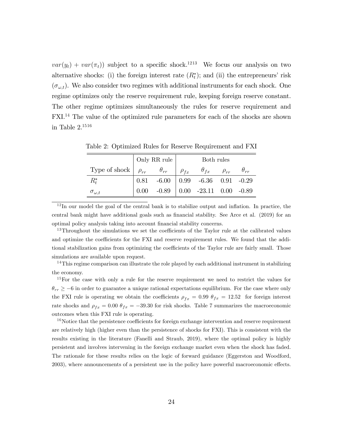$var(y_t) + var(\pi_t)$  subject to a specific shock.<sup>1213</sup> We focus our analysis on two alternative shocks: (i) the foreign interest rate  $(R<sub>t</sub><sup>*</sup>)$ ; and (ii) the entrepreneurs' risk  $(\sigma_{\omega,t})$ . We also consider two regimes with additional instruments for each shock. One regime optimizes only the reserve requirement rule, keeping foreign reserve constant. The other regime optimizes simultaneously the rules for reserve requirement and FXI.<sup>14</sup> The value of the optimized rule parameters for each of the shocks are shown in Table  $2^{1516}$ 

|                                         | $\mid$ Only RR rule $\mid$ | Both rules |                                                                                                     |  |  |  |
|-----------------------------------------|----------------------------|------------|-----------------------------------------------------------------------------------------------------|--|--|--|
| Type of shock $\rho_{rr}$ $\theta_{rr}$ |                            |            | $\rho_{fx}$ $\theta_{fx}$ $\rho_{rr}$                                                               |  |  |  |
| $R^*_t$                                 |                            |            | $\begin{array}{ l} 0.81 \quad -6.00 \quad   \; 0.99 \quad -6.36 \quad 0.91 \quad -0.29 \end{array}$ |  |  |  |
| $\sigma_{\omega,t}$                     |                            |            | $0.00$ $-0.89$ $\mid$ $0.00$ $-23.11$ $0.00$ $-0.89$                                                |  |  |  |

Table 2: Optimized Rules for Reserve Requirement and FXI

 $12$ In our model the goal of the central bank is to stabilize output and inflation. In practice, the central bank might have additional goals such as financial stability. See Arce et al. (2019) for an optimal policy analysis taking into account financial stability concerns.

 $13$ Throughout the simulations we set the coefficients of the Taylor rule at the calibrated values and optimize the coefficients for the FXI and reserve requirement rules. We found that the additional stabilization gains from optimizing the coefficients of the Taylor rule are fairly small. Those simulations are available upon request.

 $14$ This regime comparison can illustrate the role played by each additional instrument in stabilizing the economy.

<sup>15</sup>For the case with only a rule for the reserve requirement we need to restrict the values for  $\theta_{rr} \ge -6$  in order to guarantee a unique rational expectations equilibrium. For the case where only the FXI rule is operating we obtain the coefficients  $\rho_{fx} = 0.99 \theta_{fx} = 12.52$  for foreign interest rate shocks and  $\rho_{fx} = 0.00 \ \theta_{fx} = -39.30$  for risk shocks. Table 7 summarizes the macroeconomic outcomes when this FXI rule is operating.

<sup>16</sup>Notice that the persistence coefficients for foreign exchange intervention and reserve requirement are relatively high (higher even than the persistence of shocks for FXI). This is consistent with the results existing in the literature (Fanelli and Straub, 2019), where the optimal policy is highly persistent and involves intervening in the foreign exchange market even when the shock has faded. The rationale for these results relies on the logic of forward guidance (Eggerston and Woodford, 2003), where announcements of a persistent use in the policy have powerful macroeconomic effects.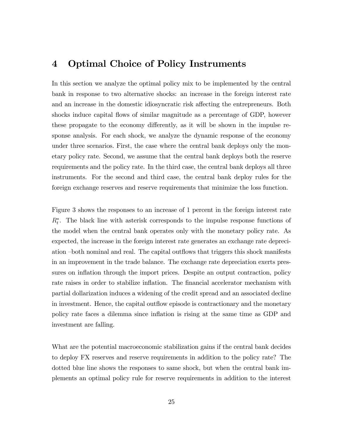## 4 Optimal Choice of Policy Instruments

In this section we analyze the optimal policy mix to be implemented by the central bank in response to two alternative shocks: an increase in the foreign interest rate and an increase in the domestic idiosyncratic risk affecting the entrepreneurs. Both shocks induce capital áows of similar magnitude as a percentage of GDP, however these propagate to the economy differently, as it will be shown in the impulse response analysis. For each shock, we analyze the dynamic response of the economy under three scenarios. First, the case where the central bank deploys only the monetary policy rate. Second, we assume that the central bank deploys both the reserve requirements and the policy rate. In the third case, the central bank deploys all three instruments. For the second and third case, the central bank deploy rules for the foreign exchange reserves and reserve requirements that minimize the loss function.

Figure 3 shows the responses to an increase of 1 percent in the foreign interest rate  $R_t^*$ . The black line with asterisk corresponds to the impulse response functions of the model when the central bank operates only with the monetary policy rate. As expected, the increase in the foreign interest rate generates an exchange rate depreciation both nominal and real. The capital outflows that triggers this shock manifests in an improvement in the trade balance. The exchange rate depreciation exerts pressures on inflation through the import prices. Despite an output contraction, policy rate raises in order to stabilize inflation. The financial accelerator mechanism with partial dollarization induces a widening of the credit spread and an associated decline in investment. Hence, the capital outflow episode is contractionary and the monetary policy rate faces a dilemma since ináation is rising at the same time as GDP and investment are falling.

What are the potential macroeconomic stabilization gains if the central bank decides to deploy FX reserves and reserve requirements in addition to the policy rate? The dotted blue line shows the responses to same shock, but when the central bank implements an optimal policy rule for reserve requirements in addition to the interest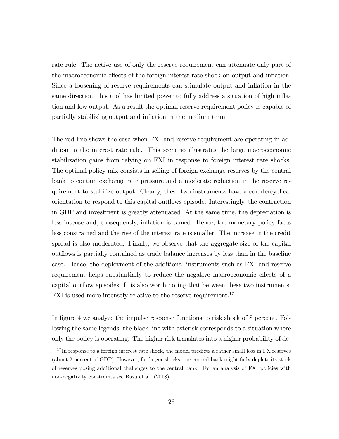rate rule. The active use of only the reserve requirement can attenuate only part of the macroeconomic effects of the foreign interest rate shock on output and inflation. Since a loosening of reserve requirements can stimulate output and inflation in the same direction, this tool has limited power to fully address a situation of high inflation and low output. As a result the optimal reserve requirement policy is capable of partially stabilizing output and inflation in the medium term.

The red line shows the case when FXI and reserve requirement are operating in addition to the interest rate rule. This scenario illustrates the large macroeconomic stabilization gains from relying on FXI in response to foreign interest rate shocks. The optimal policy mix consists in selling of foreign exchange reserves by the central bank to contain exchange rate pressure and a moderate reduction in the reserve requirement to stabilize output. Clearly, these two instruments have a countercyclical orientation to respond to this capital outáows episode. Interestingly, the contraction in GDP and investment is greatly attenuated. At the same time, the depreciation is less intense and, consequently, inflation is tamed. Hence, the monetary policy faces less constrained and the rise of the interest rate is smaller. The increase in the credit spread is also moderated. Finally, we observe that the aggregate size of the capital out flows is partially contained as trade balance increases by less than in the baseline case. Hence, the deployment of the additional instruments such as FXI and reserve requirement helps substantially to reduce the negative macroeconomic effects of a capital outflow episodes. It is also worth noting that between these two instruments, FXI is used more intensely relative to the reserve requirement.<sup>17</sup>

In figure 4 we analyze the impulse response functions to risk shock of 8 percent. Following the same legends, the black line with asterisk corresponds to a situation where only the policy is operating. The higher risk translates into a higher probability of de-

<sup>&</sup>lt;sup>17</sup>In response to a foreign interest rate shock, the model predicts a rather small loss in FX reserves (about 2 percent of GDP). However, for larger shocks, the central bank might fully deplete its stock of reserves posing additional challenges to the central bank. For an analysis of FXI policies with non-negativity constraints see Basu et al. (2018).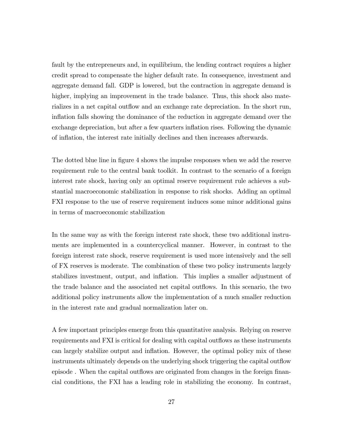fault by the entrepreneurs and, in equilibrium, the lending contract requires a higher credit spread to compensate the higher default rate. In consequence, investment and aggregate demand fall. GDP is lowered, but the contraction in aggregate demand is higher, implying an improvement in the trade balance. Thus, this shock also materializes in a net capital outflow and an exchange rate depreciation. In the short run, inflation falls showing the dominance of the reduction in aggregate demand over the exchange depreciation, but after a few quarters inflation rises. Following the dynamic of inflation, the interest rate initially declines and then increases afterwards.

The dotted blue line in figure 4 shows the impulse responses when we add the reserve requirement rule to the central bank toolkit. In contrast to the scenario of a foreign interest rate shock, having only an optimal reserve requirement rule achieves a substantial macroeconomic stabilization in response to risk shocks. Adding an optimal FXI response to the use of reserve requirement induces some minor additional gains in terms of macroeconomic stabilization

In the same way as with the foreign interest rate shock, these two additional instruments are implemented in a countercyclical manner. However, in contrast to the foreign interest rate shock, reserve requirement is used more intensively and the sell of FX reserves is moderate. The combination of these two policy instruments largely stabilizes investment, output, and ináation. This implies a smaller adjustment of the trade balance and the associated net capital outflows. In this scenario, the two additional policy instruments allow the implementation of a much smaller reduction in the interest rate and gradual normalization later on.

A few important principles emerge from this quantitative analysis. Relying on reserve requirements and FXI is critical for dealing with capital outflows as these instruments can largely stabilize output and inflation. However, the optimal policy mix of these instruments ultimately depends on the underlying shock triggering the capital outflow episode. When the capital outflows are originated from changes in the foreign financial conditions, the FXI has a leading role in stabilizing the economy. In contrast,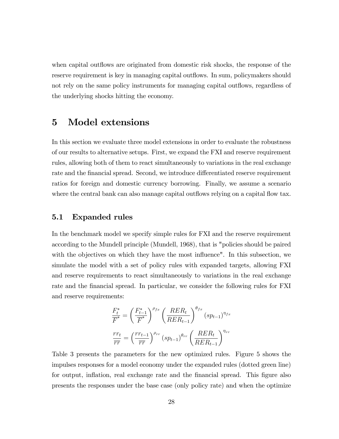when capital outflows are originated from domestic risk shocks, the response of the reserve requirement is key in managing capital outflows. In sum, policymakers should not rely on the same policy instruments for managing capital outflows, regardless of the underlying shocks hitting the economy.

## 5 Model extensions

In this section we evaluate three model extensions in order to evaluate the robustness of our results to alternative setups. First, we expand the FXI and reserve requirement rules, allowing both of them to react simultaneously to variations in the real exchange rate and the financial spread. Second, we introduce differentiated reserve requirement ratios for foreign and domestic currency borrowing. Finally, we assume a scenario where the central bank can also manage capital outflows relying on a capital flow tax.

#### 5.1 Expanded rules

In the benchmark model we specify simple rules for FXI and the reserve requirement according to the Mundell principle (Mundell, 1968), that is "policies should be paired with the objectives on which they have the most influence". In this subsection, we simulate the model with a set of policy rules with expanded targets, allowing FXI and reserve requirements to react simultaneously to variations in the real exchange rate and the financial spread. In particular, we consider the following rules for FXI and reserve requirements:

$$
\frac{F_t^*}{\overline{F}^*} = \left(\frac{F_{t-1}^*}{\overline{F}^*}\right)^{\rho_{fx}} \left(\frac{RER_t}{RER_{t-1}}\right)^{\theta_{fx}} (sp_{t-1})^{\eta_{fx}}
$$

$$
\frac{rr_t}{\overline{rr}} = \left(\frac{rr_{t-1}}{\overline{rr}}\right)^{\rho_{rr}} (sp_{t-1})^{\theta_{rr}} \left(\frac{RER_t}{RER_{t-1}}\right)^{\eta_{rr}}
$$

Table 3 presents the parameters for the new optimized rules. Figure 5 shows the impulses responses for a model economy under the expanded rules (dotted green line) for output, inflation, real exchange rate and the financial spread. This figure also presents the responses under the base case (only policy rate) and when the optimize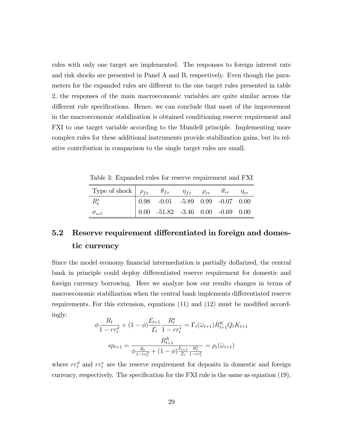rules with only one target are implemented. The responses to foreign interest rate and risk shocks are presented in Panel A and B, respectively. Even though the parameters for the expanded rules are different to the one target rules presented in table 2, the responses of the main macroeconomic variables are quite similar across the different rule specifications. Hence, we can conclude that most of the improvement in the macroeconomic stabilization is obtained conditioning reserve requirement and FXI to one target variable according to the Mundell principle. Implementing more complex rules for these additional instruments provide stabilization gains, but its relative contribution in comparison to the single target rules are small.

Table 3: Expanded rules for reserve requirement and FXI

| Type of shock $\rho_{fx}$ $\rho_{fx}$ $\eta_{fx}$ $\rho_{rr}$ $\rho_{rr}$ $\theta_{rr}$ $\eta_{rr}$ |                                                                                                 |  |  |
|-----------------------------------------------------------------------------------------------------|-------------------------------------------------------------------------------------------------|--|--|
| $R^*$                                                                                               | $\begin{array}{cccccc} 0.98 & -0.01 & -5.89 & 0.99 & -0.07 & 0.00 \end{array}$                  |  |  |
| $\sigma_{\omega,t}$                                                                                 | $\begin{array}{ l} 0.00 \quad -51.82 \quad -3.46 \quad 0.00 \quad -0.69 \quad 0.00 \end{array}$ |  |  |

## 5.2 Reserve requirement differentiated in foreign and domestic currency

Since the model economy financial intermediation is partially dollarized, the central bank in principle could deploy differentiated reserve requirement for domestic and foreign currency borrowing. Here we analyze how our results changes in terms of macroeconomic stabilization when the central bank implements differentiated reserve requirements. For this extension, equations  $(11)$  and  $(12)$  must be modified accordingly:

$$
\phi \frac{R_t}{1 - rr_t^d} + (1 - \phi) \frac{\mathcal{E}_{t+1}}{\mathcal{E}_t} \frac{R_t^*}{1 - rr_t^*} = \Gamma_t(\bar{\omega}_{t+1}) R_{t+1}^K Q_t K_{t+1}
$$

$$
sp_{t+1} = \frac{R_{t+1}^K}{\phi \frac{R_t}{1 - rr_t^d} + (1 - \phi) \frac{\mathcal{E}_{t+1}}{\mathcal{E}_t} \frac{R_t^*}{1 - rr_t^*}} = \rho_t(\bar{\omega}_{t+1})
$$

where  $rr_t^d$  and  $rr_t^*$  are the reserve requirement for deposits in domestic and foreign currency, respectively. The specification for the FXI rule is the same as equation  $(19)$ ,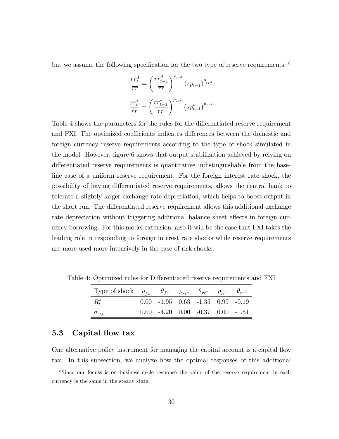but we assume the following specification for the two type of reserve requirements:<sup>18</sup>

$$
\frac{rr_t^d}{\overline{rr}} = \left(\frac{rr_{t-1}^d}{\overline{rr}}\right)^{\rho_{rr}d} (sp_{t-1})^{\theta_{rr}d}
$$

$$
\frac{rr_t^*}{\overline{rr}} = \left(\frac{rr_{t-1}^*}{\overline{rr}}\right)^{\rho_{rr^*}} (sp_{t-1}^*)^{\theta_{rr^*}}
$$

Table 4 shows the parameters for the rules for the differentiated reserve requirement and FXI. The optimized coefficients indicates differences between the domestic and foreign currency reserve requirements according to the type of shock simulated in the model. However, figure 6 shows that output stabilization achieved by relying on differentiated reserve requirements is quantitative indistinguishable from the baseline case of a uniform reserve requirement. For the foreign interest rate shock, the possibility of having differentiated reserve requirements, allows the central bank to tolerate a slightly larger exchange rate depreciation, which helps to boost output in the short run. The differentiated reserve requirement allows this additional exchange rate depreciation without triggering additional balance sheet effects in foreign currency borrowing. For this model extension, also it will be the case that FXI takes the leading role in responding to foreign interest rate shocks while reserve requirements are more used more intensively in the case of risk shocks.

| Type of shock $\begin{array}{ccc} \mid & \rho_{fx} & \theta_{fx} & \rho_{rr^*} & \theta_{rr^*} & \rho_{rr^d} & \theta_{rr^d} \end{array}$ |  |                                                                               |  |
|-------------------------------------------------------------------------------------------------------------------------------------------|--|-------------------------------------------------------------------------------|--|
| $R_{t}^*$                                                                                                                                 |  | $\begin{array}{ ccc } 0.00 & -1.95 & 0.63 & -1.35 & 0.99 & -0.19 \end{array}$ |  |
| $\sigma_{\omega,t}$                                                                                                                       |  | $\begin{array}{ rrrr} 0.00 & -4.20 & 0.00 & -0.37 & 0.00 & -1.51 \end{array}$ |  |

Table 4: Optimized rules for Differentiated reserve requirements and FXI

## 5.3 Capital flow tax

One alternative policy instrument for managing the capital account is a capital áow tax. In this subsection, we analyze how the optimal responses of this additional

<sup>&</sup>lt;sup>18</sup>Since our focuss is on business cycle response the value of the reserve requirement in each currency is the same in the steady state.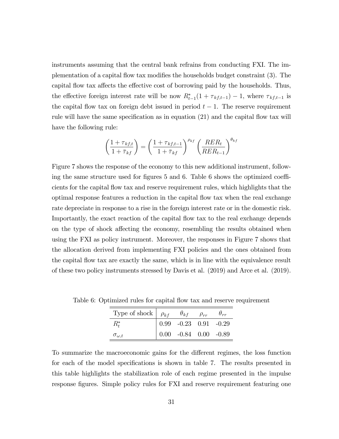instruments assuming that the central bank refrains from conducting FXI. The implementation of a capital flow tax modifies the households budget constraint (3). The capital flow tax affects the effective cost of borrowing paid by the households. Thus, the effective foreign interest rate will be now  $R_{t-1}^*(1 + \tau_{kf,t-1}) - 1$ , where  $\tau_{kf,t-1}$  is the capital flow tax on foreign debt issued in period  $t-1$ . The reserve requirement rule will have the same specification as in equation  $(21)$  and the capital flow tax will have the following rule:

$$
\left(\frac{1+\tau_{kf,t}}{1+\bar{\tau}_{kf}}\right) = \left(\frac{1+\tau_{kf,t-1}}{1+\bar{\tau}_{kf}}\right)^{\rho_{kf}} \left(\frac{RER_t}{RER_{t-1}}\right)^{\theta_{kf}}
$$

Figure 7 shows the response of the economy to this new additional instrument, following the same structure used for figures 5 and 6. Table 6 shows the optimized coefficients for the capital áow tax and reserve requirement rules, which highlights that the optimal response features a reduction in the capital áow tax when the real exchange rate depreciate in response to a rise in the foreign interest rate or in the domestic risk. Importantly, the exact reaction of the capital flow tax to the real exchange depends on the type of shock affecting the economy, resembling the results obtained when using the FXI as policy instrument. Moreover, the responses in Figure 7 shows that the allocation derived from implementing FXI policies and the ones obtained from the capital flow tax are exactly the same, which is in line with the equivalence result of these two policy instruments stressed by Davis et al. (2019) and Arce et al. (2019).

| Type of shock $\rho_{kf}$ $\theta_{kf}$ $\rho_{rr}$ $\theta_{rr}$ |                                                                |  |
|-------------------------------------------------------------------|----------------------------------------------------------------|--|
| $R^*_t$                                                           | $\begin{array}{ rrrr} 0.99 & -0.23 & 0.91 & -0.29 \end{array}$ |  |
| $\sigma_{\omega,t}$                                               | $\begin{array}{ l} 0.00 & -0.84 & 0.00 & -0.89 \end{array}$    |  |

Table 6: Optimized rules for capital flow tax and reserve requirement

To summarize the macroeconomic gains for the different regimes, the loss function for each of the model specifications is shown in table 7. The results presented in this table highlights the stabilization role of each regime presented in the impulse response figures. Simple policy rules for FXI and reserve requirement featuring one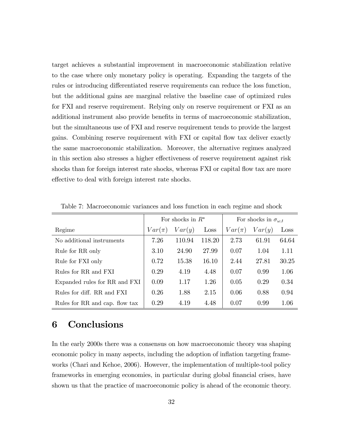target achieves a substantial improvement in macroeconomic stabilization relative to the case where only monetary policy is operating. Expanding the targets of the rules or introducing differentiated reserve requirements can reduce the loss function, but the additional gains are marginal relative the baseline case of optimized rules for FXI and reserve requirement. Relying only on reserve requirement or FXI as an additional instrument also provide benefits in terms of macroeconomic stabilization, but the simultaneous use of FXI and reserve requirement tends to provide the largest gains. Combining reserve requirement with FXI or capital áow tax deliver exactly the same macroeconomic stabilization. Moreover, the alternative regimes analyzed in this section also stresses a higher effectiveness of reserve requirement against risk shocks than for foreign interest rate shocks, whereas FXI or capital flow tax are more effective to deal with foreign interest rate shocks.

|                                |            | For shocks in $R^*$ |        | For shocks in $\sigma_{\omega,t}$ |        |       |  |
|--------------------------------|------------|---------------------|--------|-----------------------------------|--------|-------|--|
| Regime                         | $Var(\pi)$ | Var(y)              | Loss   | $Var(\pi)$                        | Var(y) | Loss  |  |
| No additional instruments      | 7.26       | 110.94              | 118.20 | 2.73                              | 61.91  | 64.64 |  |
| Rule for RR only               | 3.10       | 24.90               | 27.99  | 0.07                              | 1.04   | 1.11  |  |
| Rule for FXI only              | 0.72       | 15.38               | 16.10  | 2.44                              | 27.81  | 30.25 |  |
| Rules for RR and FXI           | 0.29       | 4.19                | 4.48   | 0.07                              | 0.99   | 1.06  |  |
| Expanded rules for RR and FXI  | 0.09       | 1.17                | 1.26   | 0.05                              | 0.29   | 0.34  |  |
| Rules for diff. RR and FXI     | 0.26       | 1.88                | 2.15   | 0.06                              | 0.88   | 0.94  |  |
| Rules for RR and cap. flow tax | 0.29       | 4.19                | 4.48   | 0.07                              | 0.99   | 1.06  |  |

Table 7: Macroeconomic variances and loss function in each regime and shock

## 6 Conclusions

In the early 2000s there was a consensus on how macroeconomic theory was shaping economic policy in many aspects, including the adoption of inflation targeting frameworks (Chari and Kehoe, 2006). However, the implementation of multiple-tool policy frameworks in emerging economies, in particular during global financial crises, have shown us that the practice of macroeconomic policy is ahead of the economic theory.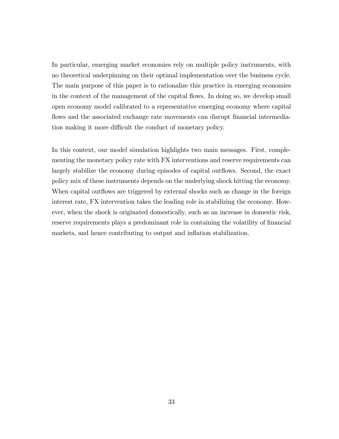In particular, emerging market economies rely on multiple policy instruments, with no theoretical underpinning on their optimal implementation over the business cycle. The main purpose of this paper is to rationalize this practice in emerging economies in the context of the management of the capital flows. In doing so, we develop small open economy model calibrated to a representative emerging economy where capital flows and the associated exchange rate movements can disrupt financial intermediation making it more difficult the conduct of monetary policy.

In this context, our model simulation highlights two main messages. First, complementing the monetary policy rate with FX interventions and reserve requirements can largely stabilize the economy during episodes of capital outflows. Second, the exact policy mix of these instruments depends on the underlying shock hitting the economy. When capital outflows are triggered by external shocks such as change in the foreign interest rate, FX intervention takes the leading role in stabilizing the economy. However, when the shock is originated domestically, such as an increase in domestic risk, reserve requirements plays a predominant role in containing the volatility of financial markets, and hence contributing to output and inflation stabilization.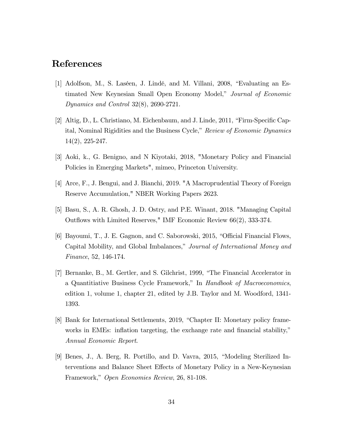## References

- [1] Adolfson, M., S. Laséen, J. Lindé, and M. Villani, 2008, "Evaluating an Estimated New Keynesian Small Open Economy Model," Journal of Economic Dynamics and Control 32(8), 2690-2721.
- [2] Altig, D., L. Christiano, M. Eichenbaum, and J. Linde,  $2011$ , "Firm-Specific Capital, Nominal Rigidities and the Business Cycle," Review of Economic Dynamics 14(2), 225-247.
- [3] Aoki, k., G. Benigno, and N Kiyotaki, 2018, "Monetary Policy and Financial Policies in Emerging Markets", mimeo, Princeton University.
- [4] Arce, F., J. Bengui, and J. Bianchi, 2019. "A Macroprudential Theory of Foreign Reserve Accumulation," NBER Working Papers 2623.
- [5] Basu, S., A. R. Ghosh, J. D. Ostry, and P.E. Winant, 2018. "Managing Capital Outflows with Limited Reserves," IMF Economic Review 66(2), 333-374.
- [6] Bayoumi, T., J. E. Gagnon, and C. Saborowski, 2015, "Official Financial Flows, Capital Mobility, and Global Imbalances," Journal of International Money and Finance, 52, 146-174.
- [7] Bernanke, B., M. Gertler, and S. Gilchrist, 1999, "The Financial Accelerator in a Quantitiative Business Cycle Framework," In Handbook of Macroeconomics, edition 1, volume 1, chapter 21, edited by J.B. Taylor and M. Woodford, 1341- 1393.
- [8] Bank for International Settlements, 2019, "Chapter II: Monetary policy frameworks in EMEs: inflation targeting, the exchange rate and financial stability," Annual Economic Report.
- [9] Benes, J., A. Berg, R. Portillo, and D. Vavra,  $2015$ , "Modeling Sterilized Interventions and Balance Sheet Effects of Monetary Policy in a New-Keynesian Framework," Open Economies Review, 26, 81-108.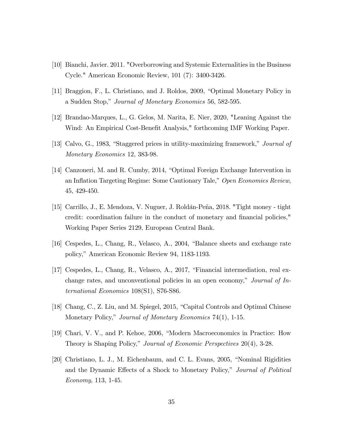- [10] Bianchi, Javier. 2011. "Overborrowing and Systemic Externalities in the Business Cycle." American Economic Review, 101 (7): 3400-3426.
- [11] Braggion, F., L. Christiano, and J. Roldos, 2009, "Optimal Monetary Policy in a Sudden Stop," Journal of Monetary Economics 56, 582-595.
- [12] Brandao-Marques, L., G. Gelos, M. Narita, E. Nier, 2020, "Leaning Against the Wind: An Empirical Cost-Benefit Analysis," forthcoming IMF Working Paper.
- [13] Calvo, G., 1983, "Staggered prices in utility-maximizing framework," Journal of Monetary Economics 12, 383-98.
- [14] Canzoneri, M. and R. Cumby, 2014, "Optimal Foreign Exchange Intervention in an Inflation Targeting Regime: Some Cautionary Tale," Open Economies Review, 45, 429-450.
- [15] Carrillo, J., E. Mendoza, V. Nuguer, J. Roldán-Peña, 2018. "Tight money tight credit: coordination failure in the conduct of monetary and financial policies," Working Paper Series 2129, European Central Bank.
- [16] Cespedes, L., Chang, R., Velasco, A.,  $2004$ , "Balance sheets and exchange rate policy," American Economic Review 94, 1183-1193.
- $[17]$  Cespedes, L., Chang, R., Velasco, A., 2017, "Financial intermediation, real exchange rates, and unconventional policies in an open economy," Journal of  $In$ ternational Economics 108(S1), S76-S86.
- [18] Chang, C., Z. Liu, and M. Spiegel, 2015, "Capital Controls and Optimal Chinese Monetary Policy," Journal of Monetary Economics 74(1), 1-15.
- [19] Chari, V. V., and P. Kehoe, 2006, "Modern Macroeconomics in Practice: How Theory is Shaping Policy," Journal of Economic Perspectives 20(4), 3-28.
- $[20]$  Christiano, L. J., M. Eichenbaum, and C. L. Evans, 2005, "Nominal Rigidities and the Dynamic Effects of a Shock to Monetary Policy," Journal of Political Economy, 113, 1-45.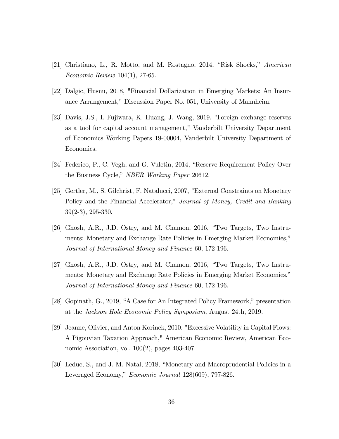- [21] Christiano, L., R. Motto, and M. Rostagno, 2014, "Risk Shocks," American Economic Review 104(1), 27-65.
- [22] Dalgic, Husnu, 2018, "Financial Dollarization in Emerging Markets: An Insurance Arrangement," Discussion Paper No. 051, University of Mannheim.
- [23] Davis, J.S., I. Fujiwara, K. Huang, J. Wang, 2019. "Foreign exchange reserves as a tool for capital account management," Vanderbilt University Department of Economics Working Papers 19-00004, Vanderbilt University Department of Economics.
- [24] Federico, P., C. Vegh, and G. Vuletin, 2014, "Reserve Requirement Policy Over the Business Cycle," NBER Working Paper 20612.
- [25] Gertler, M., S. Gilchrist, F. Natalucci, 2007, "External Constraints on Monetary Policy and the Financial Accelerator," Journal of Money, Credit and Banking 39(2-3), 295-330.
- [26] Ghosh, A.R., J.D. Ostry, and M. Chamon, 2016, "Two Targets, Two Instruments: Monetary and Exchange Rate Policies in Emerging Market Economies," Journal of International Money and Finance 60, 172-196.
- [27] Ghosh, A.R., J.D. Ostry, and M. Chamon,  $2016$ , "Two Targets, Two Instruments: Monetary and Exchange Rate Policies in Emerging Market Economies," Journal of International Money and Finance 60, 172-196.
- [28] Gopinath, G., 2019, "A Case for An Integrated Policy Framework," presentation at the Jackson Hole Economic Policy Symposium, August 24th, 2019.
- [29] Jeanne, Olivier, and Anton Korinek, 2010. "Excessive Volatility in Capital Flows: A Pigouvian Taxation Approach," American Economic Review, American Economic Association, vol. 100(2), pages 403-407.
- [30] Leduc, S., and J. M. Natal, 2018, "Monetary and Macroprudential Policies in a Leveraged Economy," Economic Journal 128(609), 797-826.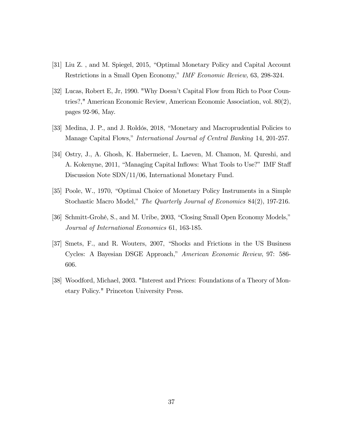- [31] Liu Z., and M. Spiegel, 2015, "Optimal Monetary Policy and Capital Account Restrictions in a Small Open Economy," IMF Economic Review, 63, 298-324.
- [32] Lucas, Robert E, Jr, 1990. "Why Doesn't Capital Flow from Rich to Poor Countries?," American Economic Review, American Economic Association, vol. 80(2), pages 92-96, May.
- [33] Medina, J. P., and J. Roldós, 2018, "Monetary and Macroprudential Policies to Manage Capital Flows," International Journal of Central Banking 14, 201-257.
- [34] Ostry, J., A. Ghosh, K. Habermeier, L. Laeven, M. Chamon, M. Qureshi, and A. Kokenyne, 2011, "Managing Capital Inflows: What Tools to Use?" IMF Staff Discussion Note SDN/11/06, International Monetary Fund.
- [35] Poole, W., 1970, "Optimal Choice of Monetary Policy Instruments in a Simple Stochastic Macro Model," The Quarterly Journal of Economics 84(2), 197-216.
- [36] Schmitt-Grohé, S., and M. Uribe, 2003, "Closing Small Open Economy Models," Journal of International Economics 61, 163-185.
- [37] Smets, F., and R. Wouters, 2007, "Shocks and Frictions in the US Business Cycles: A Bayesian DSGE Approach," American Economic Review, 97: 586-606.
- [38] Woodford, Michael, 2003. "Interest and Prices: Foundations of a Theory of Monetary Policy." Princeton University Press.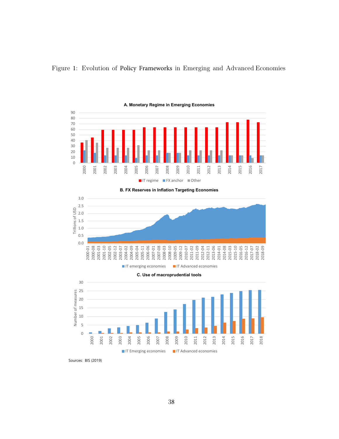

## Figure 1: Evolution of Policy Frameworks in Emerging and Advanced Economies

B. FX Reserves in Inflation Targeting Economies





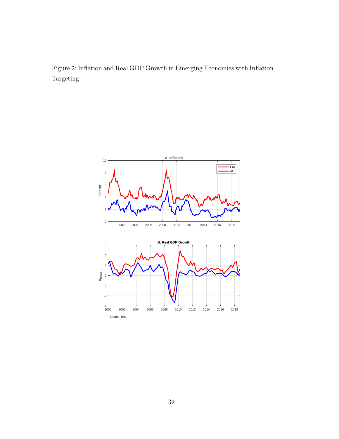Figure 2: Inflation and Real GDP Growth in Emerging Economies with Inflation Targeting

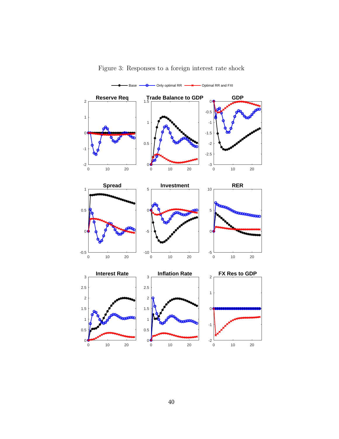

Figure 3: Responses to a foreign interest rate shock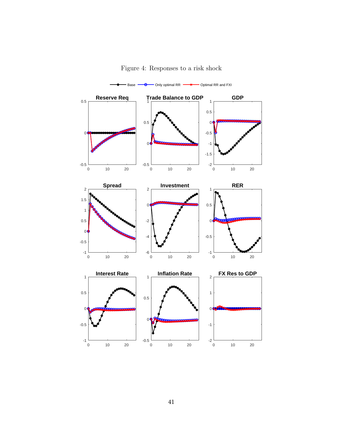

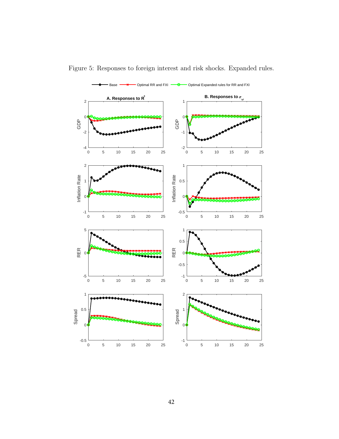

Figure 5: Responses to foreign interest and risk shocks. Expanded rules.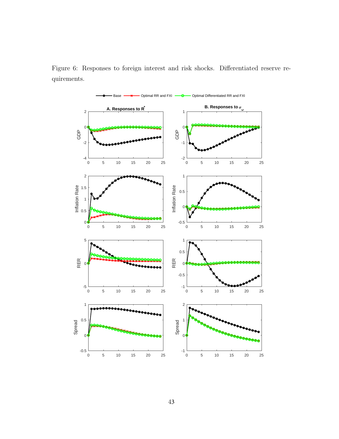